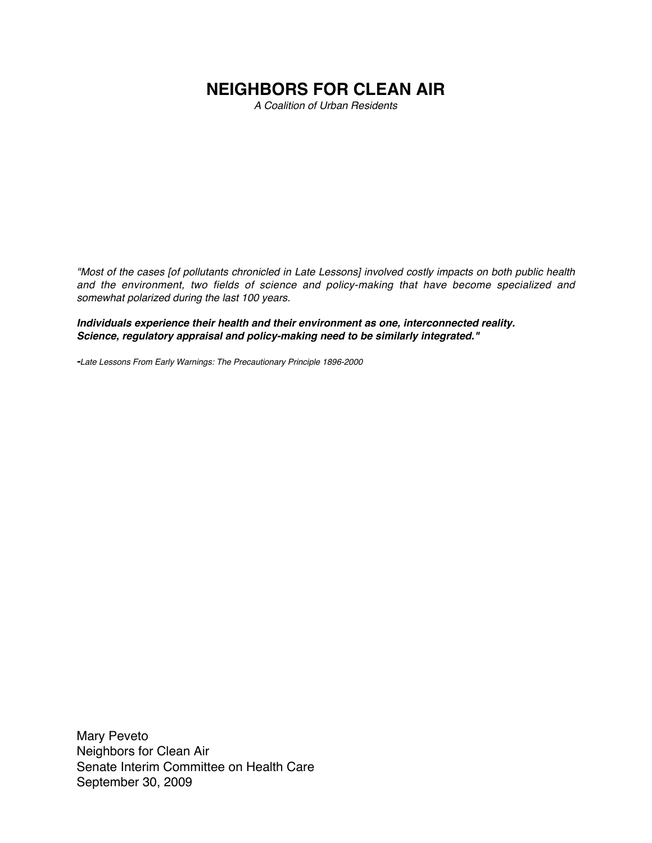## **NEIGHBORS FOR CLEAN AIR**

A Coalition of Urban Residents

"Most of the cases [of pollutants chronicled in Late Lessons] involved costly impacts on both public health and the environment, two fields of science and policy-making that have become specialized and somewhat polarized during the last 100 years.

**Individuals experience their health and their environment as one, interconnected reality. Science, regulatory appraisal and policy-making need to be similarly integrated."**

**-**Late Lessons From Early Warnings: The Precautionary Principle 1896-2000

Mary Peveto Neighbors for Clean Air Senate Interim Committee on Health Care September 30, 2009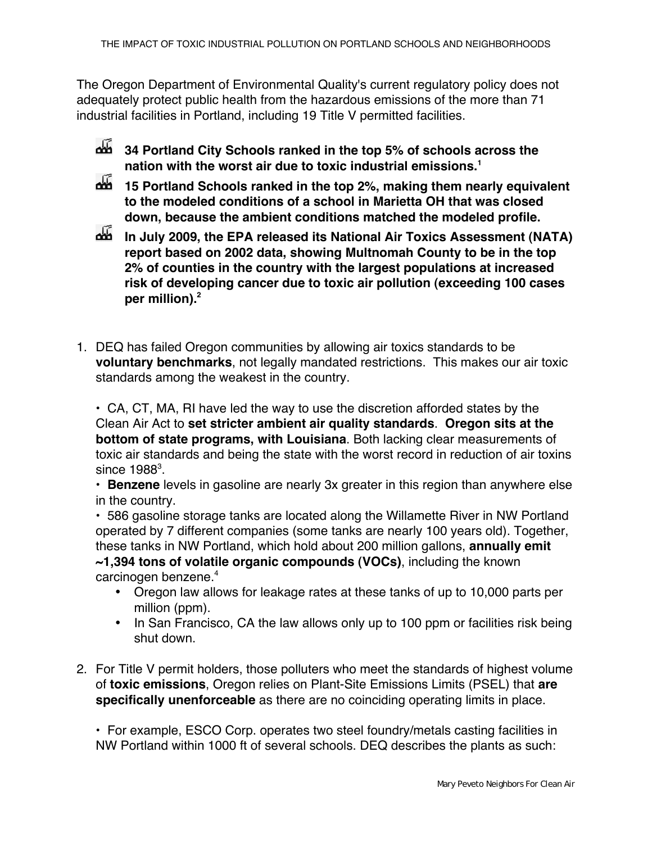The Oregon Department of Environmental Quality's current regulatory policy does not adequately protect public health from the hazardous emissions of the more than 71 industrial facilities in Portland, including 19 Title V permitted facilities.

- **34 Portland City Schools ranked in the top 5% of schools across the nation with the worst air due to toxic industrial emissions.1**
- **15 Portland Schools ranked in the top 2%, making them nearly equivalent to the modeled conditions of a school in Marietta OH that was closed down, because the ambient conditions matched the modeled profile.**
- **In July 2009, the EPA released its National Air Toxics Assessment (NATA) report based on 2002 data, showing Multnomah County to be in the top 2% of counties in the country with the largest populations at increased risk of developing cancer due to toxic air pollution (exceeding 100 cases per million).2**
- 1. DEQ has failed Oregon communities by allowing air toxics standards to be **voluntary benchmarks**, not legally mandated restrictions. This makes our air toxic standards among the weakest in the country.

• CA, CT, MA, RI have led the way to use the discretion afforded states by the Clean Air Act to **set stricter ambient air quality standards**. **Oregon sits at the bottom of state programs, with Louisiana**. Both lacking clear measurements of toxic air standards and being the state with the worst record in reduction of air toxins since 1988 $^3$ .

• **Benzene** levels in gasoline are nearly 3x greater in this region than anywhere else in the country.

• 586 gasoline storage tanks are located along the Willamette River in NW Portland operated by 7 different companies (some tanks are nearly 100 years old). Together, these tanks in NW Portland, which hold about 200 million gallons, **annually emit ~1,394 tons of volatile organic compounds (VOCs)**, including the known carcinogen benzene.<sup>4</sup>

- Oregon law allows for leakage rates at these tanks of up to 10,000 parts per million (ppm).
- In San Francisco, CA the law allows only up to 100 ppm or facilities risk being shut down.
- 2. For Title V permit holders, those polluters who meet the standards of highest volume of **toxic emissions**, Oregon relies on Plant-Site Emissions Limits (PSEL) that **are specifically unenforceable** as there are no coinciding operating limits in place.

• For example, ESCO Corp. operates two steel foundry/metals casting facilities in NW Portland within 1000 ft of several schools. DEQ describes the plants as such: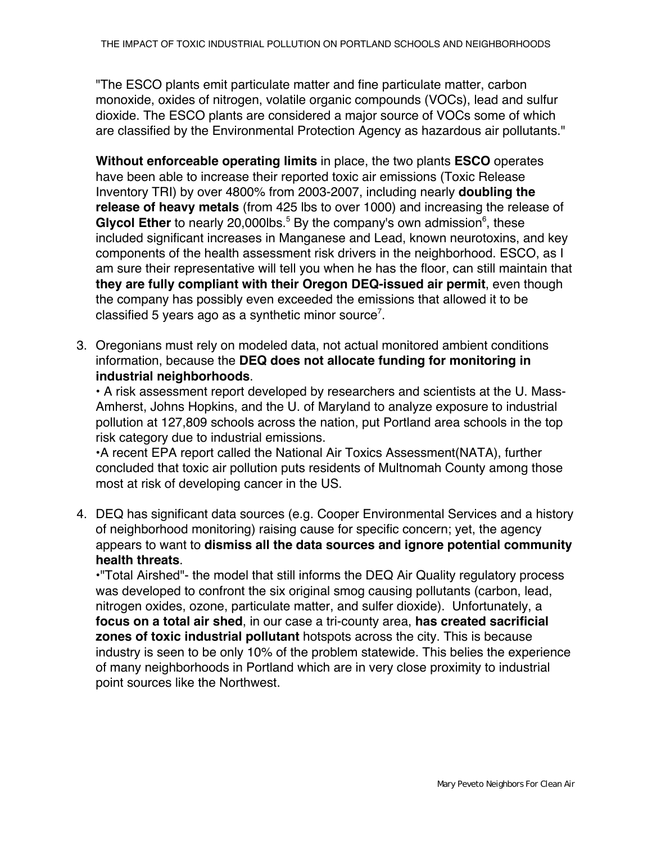"The ESCO plants emit particulate matter and fine particulate matter, carbon monoxide, oxides of nitrogen, volatile organic compounds (VOCs), lead and sulfur dioxide. The ESCO plants are considered a major source of VOCs some of which are classified by the Environmental Protection Agency as hazardous air pollutants."

**Without enforceable operating limits** in place, the two plants **ESCO** operates have been able to increase their reported toxic air emissions (Toxic Release Inventory TRI) by over 4800% from 2003-2007, including nearly **doubling the release of heavy metals** (from 425 lbs to over 1000) and increasing the release of Glycol Ether to nearly 20,000lbs.<sup>5</sup> By the company's own admission<sup>6</sup>, these included significant increases in Manganese and Lead, known neurotoxins, and key components of the health assessment risk drivers in the neighborhood. ESCO, as I am sure their representative will tell you when he has the floor, can still maintain that **they are fully compliant with their Oregon DEQ-issued air permit**, even though the company has possibly even exceeded the emissions that allowed it to be classified 5 years ago as a synthetic minor source<sup>7</sup>.

3. Oregonians must rely on modeled data, not actual monitored ambient conditions information, because the **DEQ does not allocate funding for monitoring in industrial neighborhoods**.

• A risk assessment report developed by researchers and scientists at the U. Mass-Amherst, Johns Hopkins, and the U. of Maryland to analyze exposure to industrial pollution at 127,809 schools across the nation, put Portland area schools in the top risk category due to industrial emissions.

•A recent EPA report called the National Air Toxics Assessment(NATA), further concluded that toxic air pollution puts residents of Multnomah County among those most at risk of developing cancer in the US.

4. DEQ has significant data sources (e.g. Cooper Environmental Services and a history of neighborhood monitoring) raising cause for specific concern; yet, the agency appears to want to **dismiss all the data sources and ignore potential community health threats**.

•"Total Airshed"- the model that still informs the DEQ Air Quality regulatory process was developed to confront the six original smog causing pollutants (carbon, lead, nitrogen oxides, ozone, particulate matter, and sulfer dioxide). Unfortunately, a **focus on a total air shed**, in our case a tri-county area, **has created sacrificial zones of toxic industrial pollutant** hotspots across the city. This is because industry is seen to be only 10% of the problem statewide. This belies the experience of many neighborhoods in Portland which are in very close proximity to industrial point sources like the Northwest.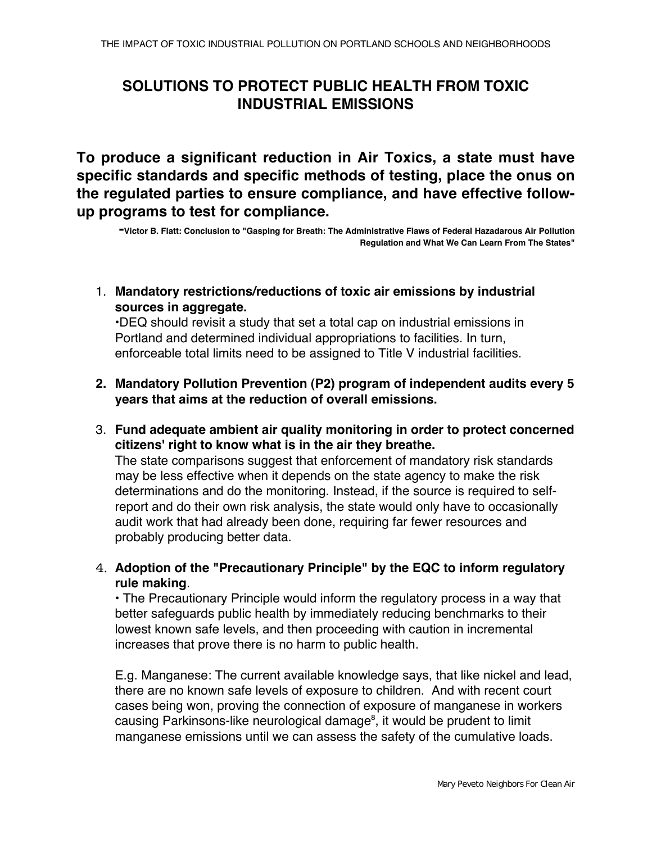## **SOLUTIONS TO PROTECT PUBLIC HEALTH FROM TOXIC INDUSTRIAL EMISSIONS**

**To produce a significant reduction in Air Toxics, a state must have specific standards and specific methods of testing, place the onus on the regulated parties to ensure compliance, and have effective followup programs to test for compliance.**

**-Victor B. Flatt: Conclusion to "Gasping for Breath: The Administrative Flaws of Federal Hazadarous Air Pollution Regulation and What We Can Learn From The States"**

1. **Mandatory restrictions/reductions of toxic air emissions by industrial sources in aggregate.**

•DEQ should revisit a study that set a total cap on industrial emissions in Portland and determined individual appropriations to facilities. In turn, enforceable total limits need to be assigned to Title V industrial facilities.

- **2. Mandatory Pollution Prevention (P2) program of independent audits every 5 years that aims at the reduction of overall emissions.**
- 3. **Fund adequate ambient air quality monitoring in order to protect concerned citizens' right to know what is in the air they breathe.** The state comparisons suggest that enforcement of mandatory risk standards may be less effective when it depends on the state agency to make the risk determinations and do the monitoring. Instead, if the source is required to selfreport and do their own risk analysis, the state would only have to occasionally audit work that had already been done, requiring far fewer resources and probably producing better data.
- 4. **Adoption of the "Precautionary Principle" by the EQC to inform regulatory rule making**.

• The Precautionary Principle would inform the regulatory process in a way that better safeguards public health by immediately reducing benchmarks to their lowest known safe levels, and then proceeding with caution in incremental increases that prove there is no harm to public health.

E.g. Manganese: The current available knowledge says, that like nickel and lead, there are no known safe levels of exposure to children. And with recent court cases being won, proving the connection of exposure of manganese in workers causing Parkinsons-like neurological damage<sup>8</sup>, it would be prudent to limit manganese emissions until we can assess the safety of the cumulative loads.